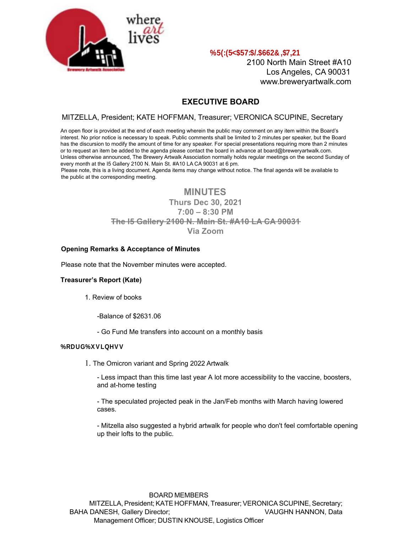

2100 North Main Street #A10 Los Angeles, CA 90031 www.breweryartwalk.com

# **EXECUTIVE BOARD**

## MITZELLA, President; KATE HOFFMAN, Treasurer; VERONICA SCUPINE, Secretary

An open floor is provided at the end of each meeting wherein the public may comment on any item within the Board's interest. No prior notice is necessary to speak. Public comments shall be limited to 2 minutes per speaker, but the Board has the discursion to modify the amount of time for any speaker. For special presentations requiring more than 2 minutes or to request an item be added to the agenda please contact the board in advance at board@breweryartwalk.com. Unless otherwise announced, The Brewery Artwalk Association normally holds regular meetings on the second Sunday of every month at the I5 Gallery 2100 N. Main St. #A10 LA CA 90031 at 6 pm.

Please note, this is a living document. Agenda items may change without notice. The final agenda will be available to the public at the corresponding meeting.

## **MINUTES Thurs Dec 30, 2021 7:00 – 8:30 PM The I5 Gallery 2100 N. Main St. #A10 LA CA 90031 Via Zoom**

### **Opening Remarks & Acceptance of Minutes**

Please note that the November minutes were accepted.

## **Treasurer's Report (Kate)**

1. Review of books

-Balance of \$2631.06

- Go Fund Me transfers into account on a monthly basis

#### Board Business

1. The Omicron variant and Spring 2022 Artwalk

- Less impact than this time last year A lot more accessibility to the vaccine, boosters, and at-home testing

- The speculated projected peak in the Jan/Feb months with March having lowered cases.

- Mitzella also suggested a hybrid artwalk for people who don't feel comfortable opening up their lofts to the public.

BOARD MEMBERS MITZELLA, President; KATE HOFFMAN, Treasurer; VERONICA SCUPINE, Secretary; BAHA DANESH, Gallery DirectorffizitpgqlxrfmqlMqbfg4pb; VAUGHNLHANNON, Data Management Officer; DUSTIN KNOUSE, Logistics Officer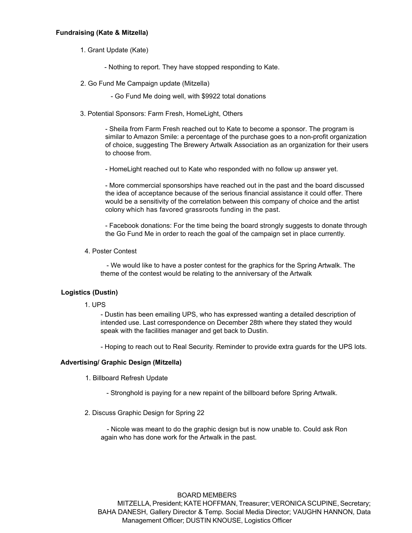#### **Fundraising (Kate & Mitzella)**

1. Grant Update (Kate)

- Nothing to report. They have stopped responding to Kate.

2. Go Fund Me Campaign update (Mitzella)

- Go Fund Me doing well, with \$9922 total donations

3. Potential Sponsors: Farm Fresh, HomeLight, Others

- Sheila from Farm Fresh reached out to Kate to become a sponsor. The program is similar to Amazon Smile: a percentage of the purchase goes to a non-profit organization of choice, suggesting The Brewery Artwalk Association as an organization for their users to choose from.

- HomeLight reached out to Kate who responded with no follow up answer yet.

- More commercial sponsorships have reached out in the past and the board discussed the idea of acceptance because of the serious financial assistance it could offer. There would be a sensitivity of the correlation between this company of choice and the artist colony which has favored grassroots funding in the past.

- Facebook donations: For the time being the board strongly suggests to donate through the Go Fund Me in order to reach the goal of the campaign set in place currently.

4. Poster Contest

- We would like to have a poster contest for the graphics for the Spring Artwalk. The theme of the contest would be relating to the anniversary of the Artwalk

## **Logistics (Dustin)**

1. UPS

- Dustin has been emailing UPS, who has expressed wanting a detailed description of intended use. Last correspondence on December 28th where they stated they would speak with the facilities manager and get back to Dustin.

- Hoping to reach out to Real Security. Reminder to provide extra guards for the UPS lots.

#### **Advertising/ Graphic Design (Mitzella)**

1. Billboard Refresh Update

- Stronghold is paying for a new repaint of the billboard before Spring Artwalk.

2. Discuss Graphic Design for Spring 22

- Nicole was meant to do the graphic design but is now unable to. Could ask Ron again who has done work for the Artwalk in the past.

#### BOARD MEMBERS

MITZELLA, President; KATE HOFFMAN, Treasurer; VERONICA SCUPINE, Secretary; BAHA DANESH, Gallery Director & Temp. Social Media Director; VAUGHN HANNON, Data Management Officer; DUSTIN KNOUSE, Logistics Officer